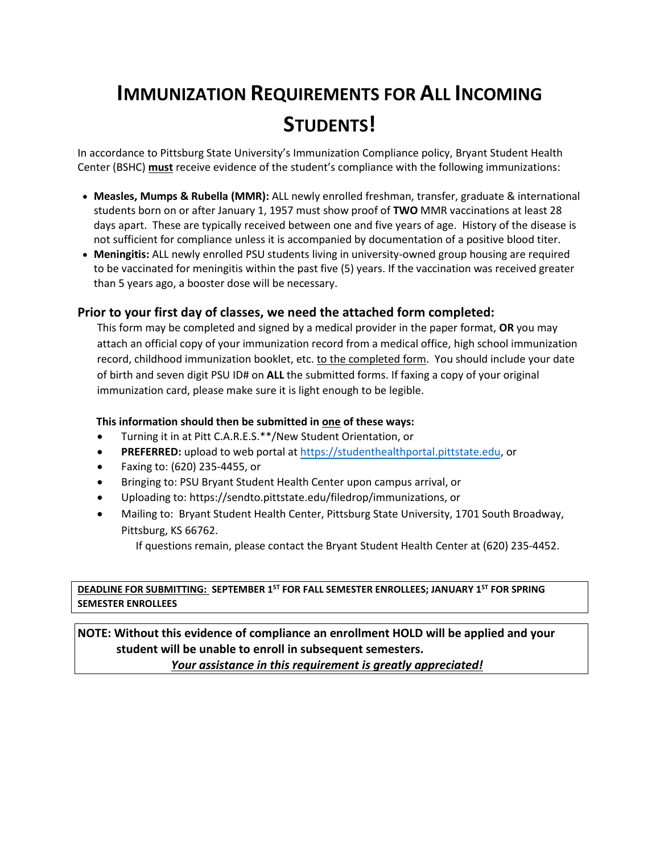# **IMMUNIZATION REQUIREMENTS FOR ALL INCOMING STUDENTS!**

In accordance to Pittsburg State University's Immunization Compliance policy, Bryant Student Health Center (BSHC) **must** receive evidence of the student's compliance with the following immunizations:

- **Measles, Mumps & Rubella (MMR):** ALL newly enrolled freshman, transfer, graduate & international students born on or after January 1, 1957 must show proof of **TWO** MMR vaccinations at least 28 days apart. These are typically received between one and five years of age. History of the disease is not sufficient for compliance unless it is accompanied by documentation of a positive blood titer.
- **Meningitis:** ALL newly enrolled PSU students living in university-owned group housing are required to be vaccinated for meningitis within the past five (5) years. If the vaccination was received greater than 5 years ago, a booster dose will be necessary.

## **Prior to your first day of classes, we need the attached form completed:**

This form may be completed and signed by a medical provider in the paper format, **OR** you may attach an official copy of your immunization record from a medical office, high school immunization record, childhood immunization booklet, etc. to the completed form. You should include your date of birth and seven digit PSU ID# on **ALL** the submitted forms. If faxing a copy of your original immunization card, please make sure it is light enough to be legible.

#### **This information should then be submitted in one of these ways:**

- Turning it in at Pitt C.A.R.E.S.\*\*/New Student Orientation, or
- **PREFERRED:** upload to web portal a[t https://studenthealthportal.pittstate.edu,](https://studenthealthportal.pittstate.edu/) or
- Faxing to: (620) 235-4455, or
- Bringing to: PSU Bryant Student Health Center upon campus arrival, or
- Uploading to: https://sendto.pittstate.edu/filedrop/immunizations, or
- Mailing to: Bryant Student Health Center, Pittsburg State University, 1701 South Broadway, Pittsburg, KS 66762.

If questions remain, please contact the Bryant Student Health Center at (620) 235-4452.

#### **DEADLINE FOR SUBMITTING: SEPTEMBER 1ST FOR FALL SEMESTER ENROLLEES; JANUARY 1ST FOR SPRING SEMESTER ENROLLEES**

# **NOTE: Without this evidence of compliance an enrollment HOLD will be applied and your student will be unable to enroll in subsequent semesters.**  *Your assistance in this requirement is greatly appreciated!*